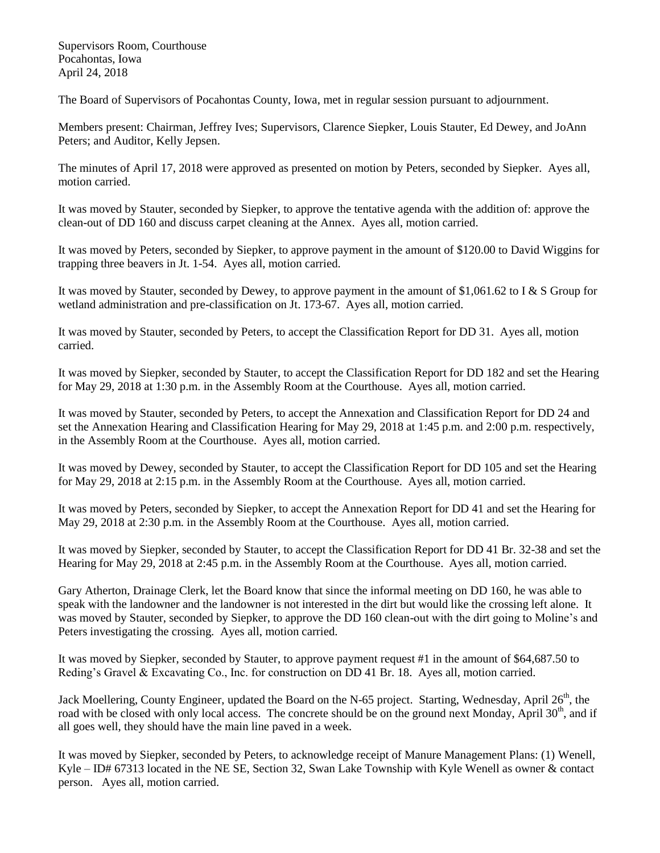Supervisors Room, Courthouse Pocahontas, Iowa April 24, 2018

The Board of Supervisors of Pocahontas County, Iowa, met in regular session pursuant to adjournment.

Members present: Chairman, Jeffrey Ives; Supervisors, Clarence Siepker, Louis Stauter, Ed Dewey, and JoAnn Peters; and Auditor, Kelly Jepsen.

The minutes of April 17, 2018 were approved as presented on motion by Peters, seconded by Siepker. Ayes all, motion carried.

It was moved by Stauter, seconded by Siepker, to approve the tentative agenda with the addition of: approve the clean-out of DD 160 and discuss carpet cleaning at the Annex. Ayes all, motion carried.

It was moved by Peters, seconded by Siepker, to approve payment in the amount of \$120.00 to David Wiggins for trapping three beavers in Jt. 1-54. Ayes all, motion carried.

It was moved by Stauter, seconded by Dewey, to approve payment in the amount of \$1,061.62 to I & S Group for wetland administration and pre-classification on Jt. 173-67. Ayes all, motion carried.

It was moved by Stauter, seconded by Peters, to accept the Classification Report for DD 31. Ayes all, motion carried.

It was moved by Siepker, seconded by Stauter, to accept the Classification Report for DD 182 and set the Hearing for May 29, 2018 at 1:30 p.m. in the Assembly Room at the Courthouse. Ayes all, motion carried.

It was moved by Stauter, seconded by Peters, to accept the Annexation and Classification Report for DD 24 and set the Annexation Hearing and Classification Hearing for May 29, 2018 at 1:45 p.m. and 2:00 p.m. respectively, in the Assembly Room at the Courthouse. Ayes all, motion carried.

It was moved by Dewey, seconded by Stauter, to accept the Classification Report for DD 105 and set the Hearing for May 29, 2018 at 2:15 p.m. in the Assembly Room at the Courthouse. Ayes all, motion carried.

It was moved by Peters, seconded by Siepker, to accept the Annexation Report for DD 41 and set the Hearing for May 29, 2018 at 2:30 p.m. in the Assembly Room at the Courthouse. Ayes all, motion carried.

It was moved by Siepker, seconded by Stauter, to accept the Classification Report for DD 41 Br. 32-38 and set the Hearing for May 29, 2018 at 2:45 p.m. in the Assembly Room at the Courthouse. Ayes all, motion carried.

Gary Atherton, Drainage Clerk, let the Board know that since the informal meeting on DD 160, he was able to speak with the landowner and the landowner is not interested in the dirt but would like the crossing left alone. It was moved by Stauter, seconded by Siepker, to approve the DD 160 clean-out with the dirt going to Moline's and Peters investigating the crossing. Ayes all, motion carried.

It was moved by Siepker, seconded by Stauter, to approve payment request #1 in the amount of \$64,687.50 to Reding's Gravel & Excavating Co., Inc. for construction on DD 41 Br. 18. Ayes all, motion carried.

Jack Moellering, County Engineer, updated the Board on the N-65 project. Starting, Wednesday, April 26<sup>th</sup>, the road with be closed with only local access. The concrete should be on the ground next Monday, April 30<sup>th</sup>, and if all goes well, they should have the main line paved in a week.

It was moved by Siepker, seconded by Peters, to acknowledge receipt of Manure Management Plans: (1) Wenell, Kyle – ID# 67313 located in the NE SE, Section 32, Swan Lake Township with Kyle Wenell as owner & contact person. Ayes all, motion carried.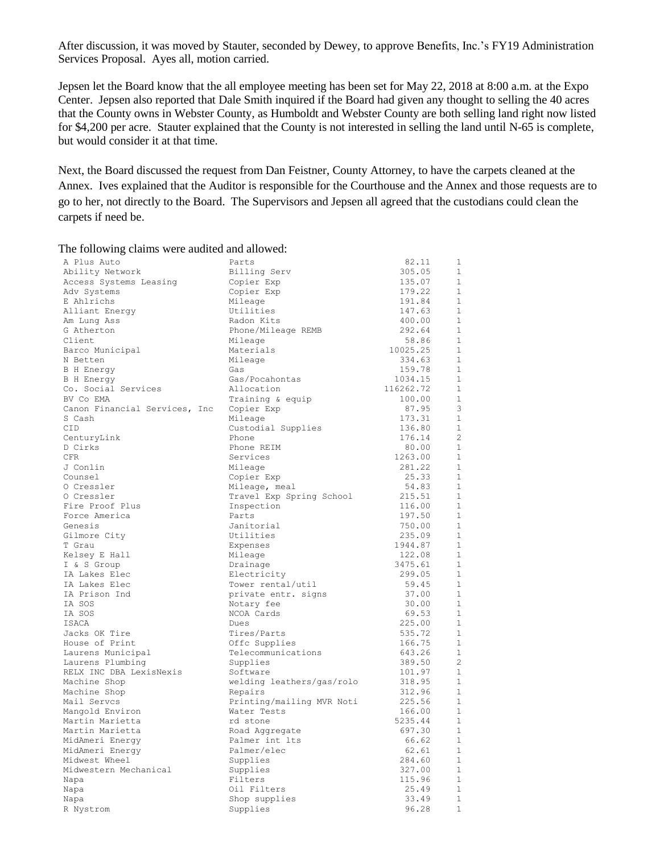After discussion, it was moved by Stauter, seconded by Dewey, to approve Benefits, Inc.'s FY19 Administration Services Proposal. Ayes all, motion carried.

Jepsen let the Board know that the all employee meeting has been set for May 22, 2018 at 8:00 a.m. at the Expo Center. Jepsen also reported that Dale Smith inquired if the Board had given any thought to selling the 40 acres that the County owns in Webster County, as Humboldt and Webster County are both selling land right now listed for \$4,200 per acre. Stauter explained that the County is not interested in selling the land until N-65 is complete, but would consider it at that time.

Next, the Board discussed the request from Dan Feistner, County Attorney, to have the carpets cleaned at the Annex. Ives explained that the Auditor is responsible for the Courthouse and the Annex and those requests are to go to her, not directly to the Board. The Supervisors and Jepsen all agreed that the custodians could clean the carpets if need be.

| A Plus Auto                   | Parts                     | 82.11     | $\mathbf{1}$   |
|-------------------------------|---------------------------|-----------|----------------|
| Ability Network               | Billing Serv              | 305.05    | $\overline{1}$ |
| Access Systems Leasing        | Copier Exp                | 135.07    | $\mathbf{1}$   |
| Adv Systems                   | Copier Exp                | 179.22    | $\mathbf{1}$   |
| E Ahlrichs                    | Mileage                   | 191.84    | $\mathbf{1}$   |
| Alliant Energy                | Utilities                 | 147.63    | $\mathbf{1}$   |
| Am Lung Ass                   | Radon Kits                | 400.00    | $\mathbf{1}$   |
| G Atherton                    | Phone/Mileage REMB        | 292.64    | $\mathbf{1}$   |
| Client                        | Mileage                   | 58.86     | $1\,$          |
| Barco Municipal               | Materials                 | 10025.25  | $\mathbf{1}$   |
| N Betten                      | Mileage                   | 334.63    | $\mathbf{1}$   |
| <b>B</b> H Energy             | Gas                       | 159.78    | $\mathbf{1}$   |
| B H Energy                    | Gas/Pocahontas            | 1034.15   | $1\,$          |
| Co. Social Services           | Allocation                | 116262.72 | $\mathbf{1}$   |
| BV Co EMA                     | Training & equip          | 100.00    | $\mathbf{1}$   |
| Canon Financial Services, Inc | Copier Exp                | 87.95     | 3              |
| S Cash                        | Mileage                   | 173.31    | $\mathbf{1}$   |
| CID                           | Custodial Supplies        | 136.80    | $\mathbf{1}$   |
| CenturyLink                   | Phone                     | 176.14    | $\overline{2}$ |
| D Cirks                       | Phone REIM                | 80.00     | $\mathbf{1}$   |
| <b>CFR</b>                    | Services                  | 1263.00   | $\mathbf{1}$   |
| J Conlin                      | Mileage                   | 281.22    | $\mathbf{1}$   |
| Counsel                       | Copier Exp                | 25.33     | 1              |
| 0 Cressler                    | Mileage, meal             | 54.83     | $\mathbf{1}$   |
| 0 Cressler                    | Travel Exp Spring School  | 215.51    | $\mathbf{1}$   |
| Fire Proof Plus               | Inspection                | 116.00    | $\mathbf{1}$   |
| Force America                 | Parts                     | 197.50    | $\mathbf{1}$   |
| Genesis                       | Janitorial                | 750.00    | 1              |
| Gilmore City                  | Utilities                 | 235.09    | $\mathbf{1}$   |
| T Grau                        | Expenses                  | 1944.87   | $\mathbf{1}$   |
| Kelsey E Hall                 | Mileage                   | 122.08    | 1              |
| I & S Group                   | Drainage                  | 3475.61   | 1              |
| IA Lakes Elec                 | Electricity               | 299.05    | $\mathbf{1}$   |
| IA Lakes Elec                 | Tower rental/util         | 59.45     | $\mathbf{1}$   |
| IA Prison Ind                 | private entr. signs       | 37.00     | $\mathbf{1}$   |
| IA SOS                        | Notary fee                | 30.00     | $1\,$          |
| IA SOS                        | NCOA Cards                | 69.53     | $\mathbf{1}$   |
| ISACA                         | Dues                      | 225.00    | $\mathbf{1}$   |
| Jacks OK Tire                 | Tires/Parts               | 535.72    | $\mathbf{1}$   |
| House of Print                | Offc Supplies             | 166.75    | $\mathbf{1}$   |
| Laurens Municipal             | Telecommunications        | 643.26    | 1              |
| Laurens Plumbing              | Supplies                  | 389.50    | $\overline{c}$ |
| RELX INC DBA LexisNexis       | Software                  | 101.97    | 1              |
| Machine Shop                  | welding leathers/gas/rolo | 318.95    | $\mathbf{1}$   |
| Machine Shop                  | Repairs                   | 312.96    | $\mathbf 1$    |
| Mail Servcs                   | Printing/mailing MVR Noti | 225.56    | $1\,$          |
| Mangold Environ               | Water Tests               | 166.00    | $\mathbf{1}$   |
| Martin Marietta               | rd stone                  | 5235.44   | 1              |
| Martin Marietta               | Road Aggregate            | 697.30    | $\mathbf 1$    |
| MidAmeri Energy               | Palmer int lts            | 66.62     | $\mathbf{1}$   |
| MidAmeri Energy               | Palmer/elec               | 62.61     | $1\,$          |
| Midwest Wheel                 | Supplies                  | 284.60    | 1              |
| Midwestern Mechanical         | Supplies                  | 327.00    | $\mathbf{1}$   |
| Napa                          | Filters                   | 115.96    | 1              |
| Napa                          | Oil Filters               | 25.49     | $\mathbf{1}$   |
| Napa                          | Shop supplies             | 33.49     | 1              |
| R Nystrom                     | Supplies                  | 96.28     | $\mathbf{1}$   |

## The following claims were audited and allowed: